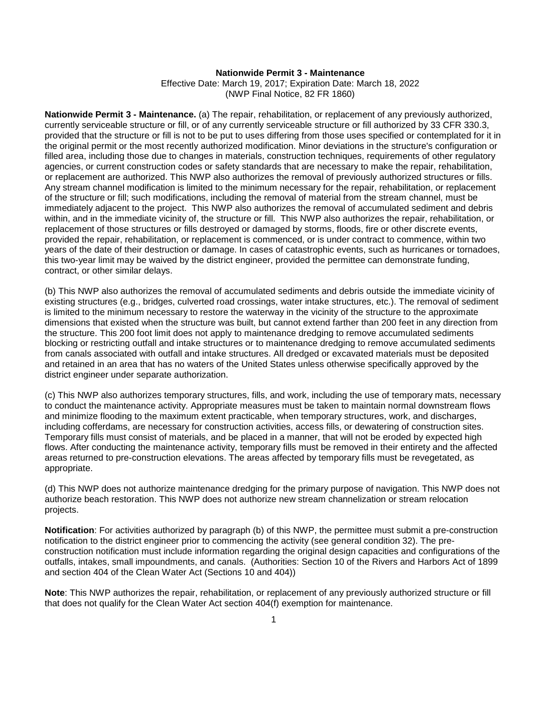# **Nationwide Permit 3 - Maintenance**

Effective Date: March 19, 2017; Expiration Date: March 18, 2022 (NWP Final Notice, 82 FR 1860)

**Nationwide Permit 3 - Maintenance.** (a) The repair, rehabilitation, or replacement of any previously authorized, currently serviceable structure or fill, or of any currently serviceable structure or fill authorized by 33 CFR 330.3, provided that the structure or fill is not to be put to uses differing from those uses specified or contemplated for it in the original permit or the most recently authorized modification. Minor deviations in the structure's configuration or filled area, including those due to changes in materials, construction techniques, requirements of other regulatory agencies, or current construction codes or safety standards that are necessary to make the repair, rehabilitation, or replacement are authorized. This NWP also authorizes the removal of previously authorized structures or fills. Any stream channel modification is limited to the minimum necessary for the repair, rehabilitation, or replacement of the structure or fill; such modifications, including the removal of material from the stream channel, must be immediately adjacent to the project. This NWP also authorizes the removal of accumulated sediment and debris within, and in the immediate vicinity of, the structure or fill. This NWP also authorizes the repair, rehabilitation, or replacement of those structures or fills destroyed or damaged by storms, floods, fire or other discrete events, provided the repair, rehabilitation, or replacement is commenced, or is under contract to commence, within two years of the date of their destruction or damage. In cases of catastrophic events, such as hurricanes or tornadoes, this two-year limit may be waived by the district engineer, provided the permittee can demonstrate funding, contract, or other similar delays.

(b) This NWP also authorizes the removal of accumulated sediments and debris outside the immediate vicinity of existing structures (e.g., bridges, culverted road crossings, water intake structures, etc.). The removal of sediment is limited to the minimum necessary to restore the waterway in the vicinity of the structure to the approximate dimensions that existed when the structure was built, but cannot extend farther than 200 feet in any direction from the structure. This 200 foot limit does not apply to maintenance dredging to remove accumulated sediments blocking or restricting outfall and intake structures or to maintenance dredging to remove accumulated sediments from canals associated with outfall and intake structures. All dredged or excavated materials must be deposited and retained in an area that has no waters of the United States unless otherwise specifically approved by the district engineer under separate authorization.

(c) This NWP also authorizes temporary structures, fills, and work, including the use of temporary mats, necessary to conduct the maintenance activity. Appropriate measures must be taken to maintain normal downstream flows and minimize flooding to the maximum extent practicable, when temporary structures, work, and discharges, including cofferdams, are necessary for construction activities, access fills, or dewatering of construction sites. Temporary fills must consist of materials, and be placed in a manner, that will not be eroded by expected high flows. After conducting the maintenance activity, temporary fills must be removed in their entirety and the affected areas returned to pre-construction elevations. The areas affected by temporary fills must be revegetated, as appropriate.

(d) This NWP does not authorize maintenance dredging for the primary purpose of navigation. This NWP does not authorize beach restoration. This NWP does not authorize new stream channelization or stream relocation projects.

**Notification**: For activities authorized by paragraph (b) of this NWP, the permittee must submit a pre-construction notification to the district engineer prior to commencing the activity (see general condition 32). The preconstruction notification must include information regarding the original design capacities and configurations of the outfalls, intakes, small impoundments, and canals. (Authorities: Section 10 of the Rivers and Harbors Act of 1899 and section 404 of the Clean Water Act (Sections 10 and 404))

**Note**: This NWP authorizes the repair, rehabilitation, or replacement of any previously authorized structure or fill that does not qualify for the Clean Water Act section 404(f) exemption for maintenance.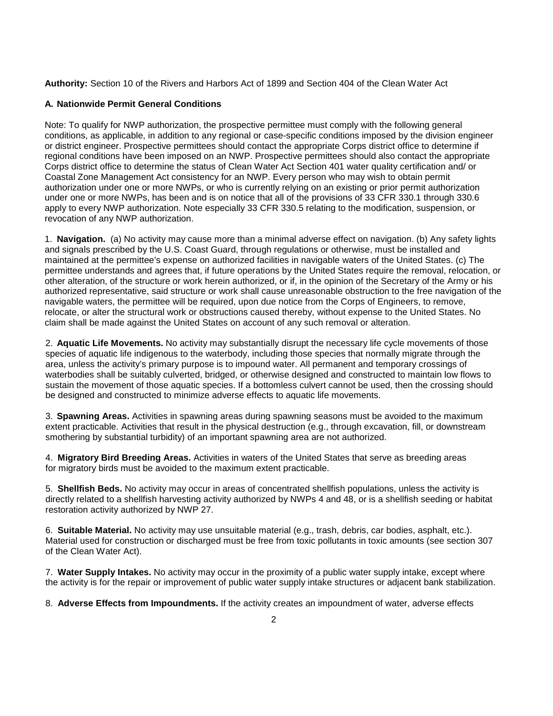**Authority:** Section 10 of the Rivers and Harbors Act of 1899 and Section 404 of the Clean Water Act

# **A. Nationwide Permit General Conditions**

Note: To qualify for NWP authorization, the prospective permittee must comply with the following general conditions, as applicable, in addition to any regional or case-specific conditions imposed by the division engineer or district engineer. Prospective permittees should contact the appropriate Corps district office to determine if regional conditions have been imposed on an NWP. Prospective permittees should also contact the appropriate Corps district office to determine the status of Clean Water Act Section 401 water quality certification and/ or Coastal Zone Management Act consistency for an NWP. Every person who may wish to obtain permit authorization under one or more NWPs, or who is currently relying on an existing or prior permit authorization under one or more NWPs, has been and is on notice that all of the provisions of 33 CFR 330.1 through 330.6 apply to every NWP authorization. Note especially 33 CFR 330.5 relating to the modification, suspension, or revocation of any NWP authorization.

1. **Navigation.** (a) No activity may cause more than a minimal adverse effect on navigation. (b) Any safety lights and signals prescribed by the U.S. Coast Guard, through regulations or otherwise, must be installed and maintained at the permittee's expense on authorized facilities in navigable waters of the United States. (c) The permittee understands and agrees that, if future operations by the United States require the removal, relocation, or other alteration, of the structure or work herein authorized, or if, in the opinion of the Secretary of the Army or his authorized representative, said structure or work shall cause unreasonable obstruction to the free navigation of the navigable waters, the permittee will be required, upon due notice from the Corps of Engineers, to remove, relocate, or alter the structural work or obstructions caused thereby, without expense to the United States. No claim shall be made against the United States on account of any such removal or alteration.

2. **Aquatic Life Movements.** No activity may substantially disrupt the necessary life cycle movements of those species of aquatic life indigenous to the waterbody, including those species that normally migrate through the area, unless the activity's primary purpose is to impound water. All permanent and temporary crossings of waterbodies shall be suitably culverted, bridged, or otherwise designed and constructed to maintain low flows to sustain the movement of those aquatic species. If a bottomless culvert cannot be used, then the crossing should be designed and constructed to minimize adverse effects to aquatic life movements.

3. **Spawning Areas.** Activities in spawning areas during spawning seasons must be avoided to the maximum extent practicable. Activities that result in the physical destruction (e.g., through excavation, fill, or downstream smothering by substantial turbidity) of an important spawning area are not authorized.

4. **Migratory Bird Breeding Areas.** Activities in waters of the United States that serve as breeding areas for migratory birds must be avoided to the maximum extent practicable.

5. **Shellfish Beds.** No activity may occur in areas of concentrated shellfish populations, unless the activity is directly related to a shellfish harvesting activity authorized by NWPs 4 and 48, or is a shellfish seeding or habitat restoration activity authorized by NWP 27.

6. **Suitable Material.** No activity may use unsuitable material (e.g., trash, debris, car bodies, asphalt, etc.). Material used for construction or discharged must be free from toxic pollutants in toxic amounts (see section 307 of the Clean Water Act).

7. **Water Supply Intakes.** No activity may occur in the proximity of a public water supply intake, except where the activity is for the repair or improvement of public water supply intake structures or adjacent bank stabilization.

8. **Adverse Effects from Impoundments.** If the activity creates an impoundment of water, adverse effects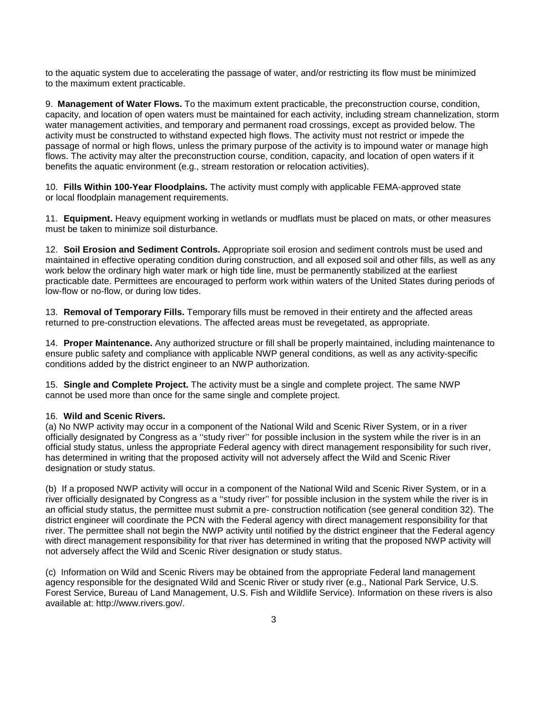to the aquatic system due to accelerating the passage of water, and/or restricting its flow must be minimized to the maximum extent practicable.

9. **Management of Water Flows.** To the maximum extent practicable, the preconstruction course, condition, capacity, and location of open waters must be maintained for each activity, including stream channelization, storm water management activities, and temporary and permanent road crossings, except as provided below. The activity must be constructed to withstand expected high flows. The activity must not restrict or impede the passage of normal or high flows, unless the primary purpose of the activity is to impound water or manage high flows. The activity may alter the preconstruction course, condition, capacity, and location of open waters if it benefits the aquatic environment (e.g., stream restoration or relocation activities).

10. **Fills Within 100-Year Floodplains.** The activity must comply with applicable FEMA-approved state or local floodplain management requirements.

11. **Equipment.** Heavy equipment working in wetlands or mudflats must be placed on mats, or other measures must be taken to minimize soil disturbance.

12. **Soil Erosion and Sediment Controls.** Appropriate soil erosion and sediment controls must be used and maintained in effective operating condition during construction, and all exposed soil and other fills, as well as any work below the ordinary high water mark or high tide line, must be permanently stabilized at the earliest practicable date. Permittees are encouraged to perform work within waters of the United States during periods of low-flow or no-flow, or during low tides.

13. **Removal of Temporary Fills.** Temporary fills must be removed in their entirety and the affected areas returned to pre-construction elevations. The affected areas must be revegetated, as appropriate.

14. **Proper Maintenance.** Any authorized structure or fill shall be properly maintained, including maintenance to ensure public safety and compliance with applicable NWP general conditions, as well as any activity-specific conditions added by the district engineer to an NWP authorization.

15. **Single and Complete Project.** The activity must be a single and complete project. The same NWP cannot be used more than once for the same single and complete project.

#### 16. **Wild and Scenic Rivers.**

(a) No NWP activity may occur in a component of the National Wild and Scenic River System, or in a river officially designated by Congress as a ''study river'' for possible inclusion in the system while the river is in an official study status, unless the appropriate Federal agency with direct management responsibility for such river, has determined in writing that the proposed activity will not adversely affect the Wild and Scenic River designation or study status.

(b) If a proposed NWP activity will occur in a component of the National Wild and Scenic River System, or in a river officially designated by Congress as a ''study river'' for possible inclusion in the system while the river is in an official study status, the permittee must submit a pre- construction notification (see general condition 32). The district engineer will coordinate the PCN with the Federal agency with direct management responsibility for that river. The permittee shall not begin the NWP activity until notified by the district engineer that the Federal agency with direct management responsibility for that river has determined in writing that the proposed NWP activity will not adversely affect the Wild and Scenic River designation or study status.

(c) Information on Wild and Scenic Rivers may be obtained from the appropriate Federal land management agency responsible for the designated Wild and Scenic River or study river (e.g., National Park Service, U.S. Forest Service, Bureau of Land Management, U.S. Fish and Wildlife Service). Information on these rivers is also available [at: http://www.rivers.gov/.](http://www.rivers.gov/)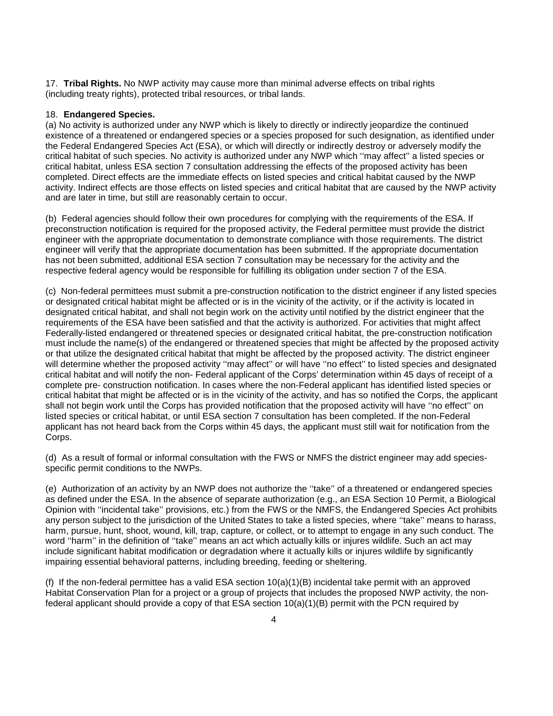17. **Tribal Rights.** No NWP activity may cause more than minimal adverse effects on tribal rights (including treaty rights), protected tribal resources, or tribal lands.

#### 18. **Endangered Species.**

(a) No activity is authorized under any NWP which is likely to directly or indirectly jeopardize the continued existence of a threatened or endangered species or a species proposed for such designation, as identified under the Federal Endangered Species Act (ESA), or which will directly or indirectly destroy or adversely modify the critical habitat of such species. No activity is authorized under any NWP which ''may affect'' a listed species or critical habitat, unless ESA section 7 consultation addressing the effects of the proposed activity has been completed. Direct effects are the immediate effects on listed species and critical habitat caused by the NWP activity. Indirect effects are those effects on listed species and critical habitat that are caused by the NWP activity and are later in time, but still are reasonably certain to occur.

(b) Federal agencies should follow their own procedures for complying with the requirements of the ESA. If preconstruction notification is required for the proposed activity, the Federal permittee must provide the district engineer with the appropriate documentation to demonstrate compliance with those requirements. The district engineer will verify that the appropriate documentation has been submitted. If the appropriate documentation has not been submitted, additional ESA section 7 consultation may be necessary for the activity and the respective federal agency would be responsible for fulfilling its obligation under section 7 of the ESA.

(c) Non-federal permittees must submit a pre-construction notification to the district engineer if any listed species or designated critical habitat might be affected or is in the vicinity of the activity, or if the activity is located in designated critical habitat, and shall not begin work on the activity until notified by the district engineer that the requirements of the ESA have been satisfied and that the activity is authorized. For activities that might affect Federally-listed endangered or threatened species or designated critical habitat, the pre-construction notification must include the name(s) of the endangered or threatened species that might be affected by the proposed activity or that utilize the designated critical habitat that might be affected by the proposed activity. The district engineer will determine whether the proposed activity "may affect" or will have "no effect" to listed species and designated critical habitat and will notify the non- Federal applicant of the Corps' determination within 45 days of receipt of a complete pre- construction notification. In cases where the non-Federal applicant has identified listed species or critical habitat that might be affected or is in the vicinity of the activity, and has so notified the Corps, the applicant shall not begin work until the Corps has provided notification that the proposed activity will have ''no effect'' on listed species or critical habitat, or until ESA section 7 consultation has been completed. If the non-Federal applicant has not heard back from the Corps within 45 days, the applicant must still wait for notification from the Corps.

(d) As a result of formal or informal consultation with the FWS or NMFS the district engineer may add speciesspecific permit conditions to the NWPs.

(e) Authorization of an activity by an NWP does not authorize the ''take'' of a threatened or endangered species as defined under the ESA. In the absence of separate authorization (e.g., an ESA Section 10 Permit, a Biological Opinion with ''incidental take'' provisions, etc.) from the FWS or the NMFS, the Endangered Species Act prohibits any person subject to the jurisdiction of the United States to take a listed species, where ''take'' means to harass, harm, pursue, hunt, shoot, wound, kill, trap, capture, or collect, or to attempt to engage in any such conduct. The word ''harm'' in the definition of ''take'' means an act which actually kills or injures wildlife. Such an act may include significant habitat modification or degradation where it actually kills or injures wildlife by significantly impairing essential behavioral patterns, including breeding, feeding or sheltering.

(f) If the non-federal permittee has a valid ESA section 10(a)(1)(B) incidental take permit with an approved Habitat Conservation Plan for a project or a group of projects that includes the proposed NWP activity, the nonfederal applicant should provide a copy of that ESA section 10(a)(1)(B) permit with the PCN required by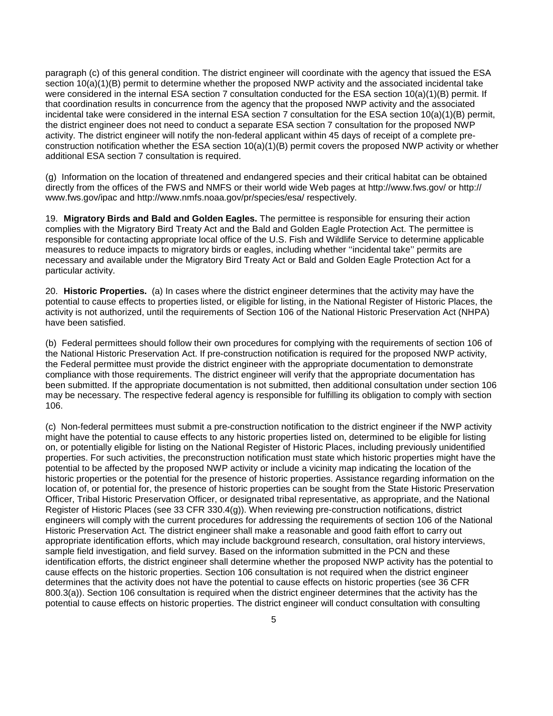paragraph (c) of this general condition. The district engineer will coordinate with the agency that issued the ESA section 10(a)(1)(B) permit to determine whether the proposed NWP activity and the associated incidental take were considered in the internal ESA section 7 consultation conducted for the ESA section 10(a)(1)(B) permit. If that coordination results in concurrence from the agency that the proposed NWP activity and the associated incidental take were considered in the internal ESA section 7 consultation for the ESA section 10(a)(1)(B) permit, the district engineer does not need to conduct a separate ESA section 7 consultation for the proposed NWP activity. The district engineer will notify the non-federal applicant within 45 days of receipt of a complete preconstruction notification whether the ESA section 10(a)(1)(B) permit covers the proposed NWP activity or whether additional ESA section 7 consultation is required.

(g) Information on the location of threatened and endangered species and their critical habitat can be obtained directly from the offices of the FWS and NMFS or their world wide Web pages [at http://www.fws.gov/](http://www.fws.gov/) or http:// [www.fws.gov/ipac](http://www.fws.gov/ipac) and<http://www.nmfs.noaa.gov/pr/species/esa/> respectively.

19. **Migratory Birds and Bald and Golden Eagles.** The permittee is responsible for ensuring their action complies with the Migratory Bird Treaty Act and the Bald and Golden Eagle Protection Act. The permittee is responsible for contacting appropriate local office of the U.S. Fish and Wildlife Service to determine applicable measures to reduce impacts to migratory birds or eagles, including whether ''incidental take'' permits are necessary and available under the Migratory Bird Treaty Act or Bald and Golden Eagle Protection Act for a particular activity.

20. **Historic Properties.** (a) In cases where the district engineer determines that the activity may have the potential to cause effects to properties listed, or eligible for listing, in the National Register of Historic Places, the activity is not authorized, until the requirements of Section 106 of the National Historic Preservation Act (NHPA) have been satisfied.

(b) Federal permittees should follow their own procedures for complying with the requirements of section 106 of the National Historic Preservation Act. If pre-construction notification is required for the proposed NWP activity, the Federal permittee must provide the district engineer with the appropriate documentation to demonstrate compliance with those requirements. The district engineer will verify that the appropriate documentation has been submitted. If the appropriate documentation is not submitted, then additional consultation under section 106 may be necessary. The respective federal agency is responsible for fulfilling its obligation to comply with section 106.

(c) Non-federal permittees must submit a pre-construction notification to the district engineer if the NWP activity might have the potential to cause effects to any historic properties listed on, determined to be eligible for listing on, or potentially eligible for listing on the National Register of Historic Places, including previously unidentified properties. For such activities, the preconstruction notification must state which historic properties might have the potential to be affected by the proposed NWP activity or include a vicinity map indicating the location of the historic properties or the potential for the presence of historic properties. Assistance regarding information on the location of, or potential for, the presence of historic properties can be sought from the State Historic Preservation Officer, Tribal Historic Preservation Officer, or designated tribal representative, as appropriate, and the National Register of Historic Places (see 33 CFR 330.4(g)). When reviewing pre-construction notifications, district engineers will comply with the current procedures for addressing the requirements of section 106 of the National Historic Preservation Act. The district engineer shall make a reasonable and good faith effort to carry out appropriate identification efforts, which may include background research, consultation, oral history interviews, sample field investigation, and field survey. Based on the information submitted in the PCN and these identification efforts, the district engineer shall determine whether the proposed NWP activity has the potential to cause effects on the historic properties. Section 106 consultation is not required when the district engineer determines that the activity does not have the potential to cause effects on historic properties (see 36 CFR 800.3(a)). Section 106 consultation is required when the district engineer determines that the activity has the potential to cause effects on historic properties. The district engineer will conduct consultation with consulting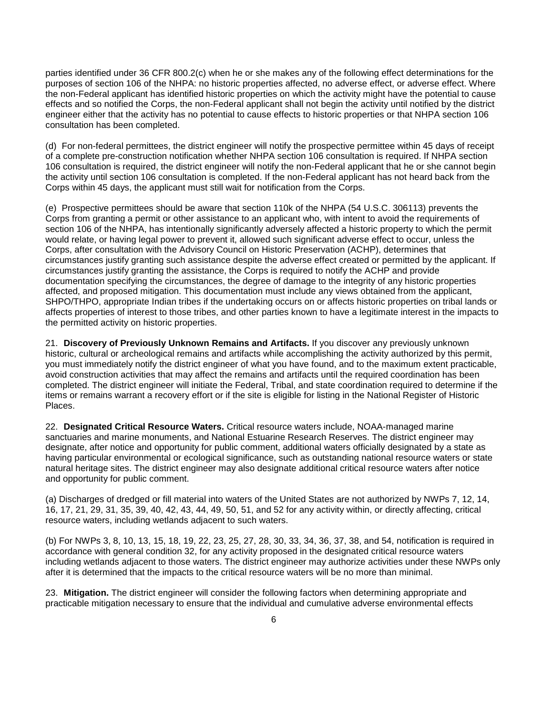parties identified under 36 CFR 800.2(c) when he or she makes any of the following effect determinations for the purposes of section 106 of the NHPA: no historic properties affected, no adverse effect, or adverse effect. Where the non-Federal applicant has identified historic properties on which the activity might have the potential to cause effects and so notified the Corps, the non-Federal applicant shall not begin the activity until notified by the district engineer either that the activity has no potential to cause effects to historic properties or that NHPA section 106 consultation has been completed.

(d) For non-federal permittees, the district engineer will notify the prospective permittee within 45 days of receipt of a complete pre-construction notification whether NHPA section 106 consultation is required. If NHPA section 106 consultation is required, the district engineer will notify the non-Federal applicant that he or she cannot begin the activity until section 106 consultation is completed. If the non-Federal applicant has not heard back from the Corps within 45 days, the applicant must still wait for notification from the Corps.

(e) Prospective permittees should be aware that section 110k of the NHPA (54 U.S.C. 306113) prevents the Corps from granting a permit or other assistance to an applicant who, with intent to avoid the requirements of section 106 of the NHPA, has intentionally significantly adversely affected a historic property to which the permit would relate, or having legal power to prevent it, allowed such significant adverse effect to occur, unless the Corps, after consultation with the Advisory Council on Historic Preservation (ACHP), determines that circumstances justify granting such assistance despite the adverse effect created or permitted by the applicant. If circumstances justify granting the assistance, the Corps is required to notify the ACHP and provide documentation specifying the circumstances, the degree of damage to the integrity of any historic properties affected, and proposed mitigation. This documentation must include any views obtained from the applicant, SHPO/THPO, appropriate Indian tribes if the undertaking occurs on or affects historic properties on tribal lands or affects properties of interest to those tribes, and other parties known to have a legitimate interest in the impacts to the permitted activity on historic properties.

21. **Discovery of Previously Unknown Remains and Artifacts.** If you discover any previously unknown historic, cultural or archeological remains and artifacts while accomplishing the activity authorized by this permit, you must immediately notify the district engineer of what you have found, and to the maximum extent practicable, avoid construction activities that may affect the remains and artifacts until the required coordination has been completed. The district engineer will initiate the Federal, Tribal, and state coordination required to determine if the items or remains warrant a recovery effort or if the site is eligible for listing in the National Register of Historic Places.

22. **Designated Critical Resource Waters.** Critical resource waters include, NOAA-managed marine sanctuaries and marine monuments, and National Estuarine Research Reserves. The district engineer may designate, after notice and opportunity for public comment, additional waters officially designated by a state as having particular environmental or ecological significance, such as outstanding national resource waters or state natural heritage sites. The district engineer may also designate additional critical resource waters after notice and opportunity for public comment.

(a) Discharges of dredged or fill material into waters of the United States are not authorized by NWPs 7, 12, 14, 16, 17, 21, 29, 31, 35, 39, 40, 42, 43, 44, 49, 50, 51, and 52 for any activity within, or directly affecting, critical resource waters, including wetlands adjacent to such waters.

(b) For NWPs 3, 8, 10, 13, 15, 18, 19, 22, 23, 25, 27, 28, 30, 33, 34, 36, 37, 38, and 54, notification is required in accordance with general condition 32, for any activity proposed in the designated critical resource waters including wetlands adjacent to those waters. The district engineer may authorize activities under these NWPs only after it is determined that the impacts to the critical resource waters will be no more than minimal.

23. **Mitigation.** The district engineer will consider the following factors when determining appropriate and practicable mitigation necessary to ensure that the individual and cumulative adverse environmental effects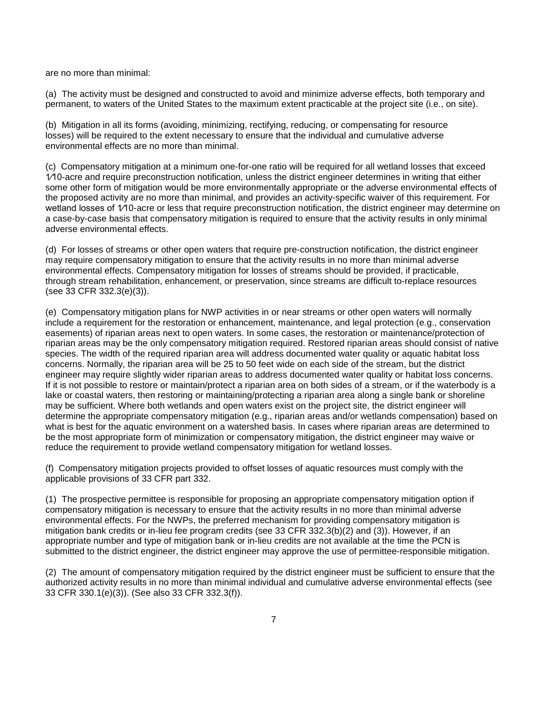are no more than minimal:

(a) The activity must be designed and constructed to avoid and minimize adverse effects, both temporary and permanent, to waters of the United States to the maximum extent practicable at the project site (i.e., on site).

(b) Mitigation in all its forms (avoiding, minimizing, rectifying, reducing, or compensating for resource losses) will be required to the extent necessary to ensure that the individual and cumulative adverse environmental effects are no more than minimal.

(c) Compensatory mitigation at a minimum one-for-one ratio will be required for all wetland losses that exceed 1⁄10-acre and require preconstruction notification, unless the district engineer determines in writing that either some other form of mitigation would be more environmentally appropriate or the adverse environmental effects of the proposed activity are no more than minimal, and provides an activity-specific waiver of this requirement. For wetland losses of 1/10-acre or less that require preconstruction notification, the district engineer may determine on a case-by-case basis that compensatory mitigation is required to ensure that the activity results in only minimal adverse environmental effects.

(d) For losses of streams or other open waters that require pre-construction notification, the district engineer may require compensatory mitigation to ensure that the activity results in no more than minimal adverse environmental effects. Compensatory mitigation for losses of streams should be provided, if practicable, through stream rehabilitation, enhancement, or preservation, since streams are difficult to-replace resources (see 33 CFR 332.3(e)(3)).

(e) Compensatory mitigation plans for NWP activities in or near streams or other open waters will normally include a requirement for the restoration or enhancement, maintenance, and legal protection (e.g., conservation easements) of riparian areas next to open waters. In some cases, the restoration or maintenance/protection of riparian areas may be the only compensatory mitigation required. Restored riparian areas should consist of native species. The width of the required riparian area will address documented water quality or aquatic habitat loss concerns. Normally, the riparian area will be 25 to 50 feet wide on each side of the stream, but the district engineer may require slightly wider riparian areas to address documented water quality or habitat loss concerns. If it is not possible to restore or maintain/protect a riparian area on both sides of a stream, or if the waterbody is a lake or coastal waters, then restoring or maintaining/protecting a riparian area along a single bank or shoreline may be sufficient. Where both wetlands and open waters exist on the project site, the district engineer will determine the appropriate compensatory mitigation (e.g., riparian areas and/or wetlands compensation) based on what is best for the aquatic environment on a watershed basis. In cases where riparian areas are determined to be the most appropriate form of minimization or compensatory mitigation, the district engineer may waive or reduce the requirement to provide wetland compensatory mitigation for wetland losses.

(f) Compensatory mitigation projects provided to offset losses of aquatic resources must comply with the applicable provisions of 33 CFR part 332.

(1) The prospective permittee is responsible for proposing an appropriate compensatory mitigation option if compensatory mitigation is necessary to ensure that the activity results in no more than minimal adverse environmental effects. For the NWPs, the preferred mechanism for providing compensatory mitigation is mitigation bank credits or in-lieu fee program credits (see 33 CFR 332.3(b)(2) and (3)). However, if an appropriate number and type of mitigation bank or in-lieu credits are not available at the time the PCN is submitted to the district engineer, the district engineer may approve the use of permittee-responsible mitigation.

(2) The amount of compensatory mitigation required by the district engineer must be sufficient to ensure that the authorized activity results in no more than minimal individual and cumulative adverse environmental effects (see 33 CFR 330.1(e)(3)). (See also 33 CFR 332.3(f)).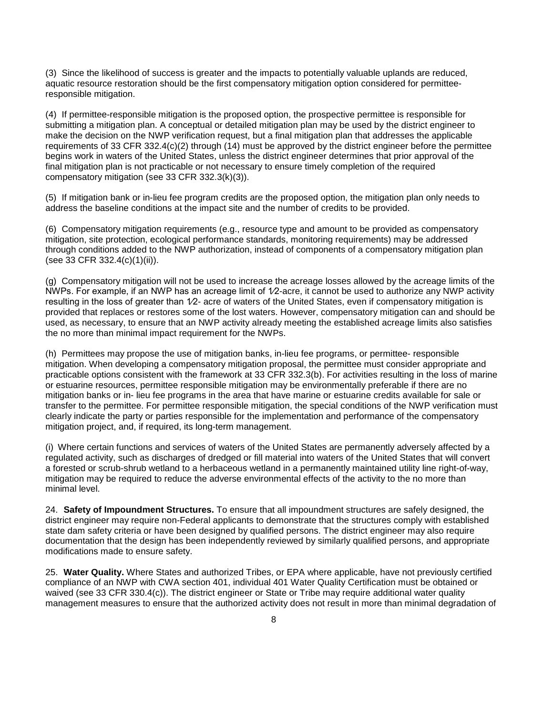(3) Since the likelihood of success is greater and the impacts to potentially valuable uplands are reduced, aquatic resource restoration should be the first compensatory mitigation option considered for permitteeresponsible mitigation.

(4) If permittee-responsible mitigation is the proposed option, the prospective permittee is responsible for submitting a mitigation plan. A conceptual or detailed mitigation plan may be used by the district engineer to make the decision on the NWP verification request, but a final mitigation plan that addresses the applicable requirements of 33 CFR 332.4(c)(2) through (14) must be approved by the district engineer before the permittee begins work in waters of the United States, unless the district engineer determines that prior approval of the final mitigation plan is not practicable or not necessary to ensure timely completion of the required compensatory mitigation (see 33 CFR 332.3(k)(3)).

(5) If mitigation bank or in-lieu fee program credits are the proposed option, the mitigation plan only needs to address the baseline conditions at the impact site and the number of credits to be provided.

(6) Compensatory mitigation requirements (e.g., resource type and amount to be provided as compensatory mitigation, site protection, ecological performance standards, monitoring requirements) may be addressed through conditions added to the NWP authorization, instead of components of a compensatory mitigation plan (see 33 CFR 332.4(c)(1)(ii)).

(g) Compensatory mitigation will not be used to increase the acreage losses allowed by the acreage limits of the NWPs. For example, if an NWP has an acreage limit of  $1/2$ -acre, it cannot be used to authorize any NWP activity resulting in the loss of greater than 1⁄2- acre of waters of the United States, even if compensatory mitigation is provided that replaces or restores some of the lost waters. However, compensatory mitigation can and should be used, as necessary, to ensure that an NWP activity already meeting the established acreage limits also satisfies the no more than minimal impact requirement for the NWPs.

(h) Permittees may propose the use of mitigation banks, in-lieu fee programs, or permittee- responsible mitigation. When developing a compensatory mitigation proposal, the permittee must consider appropriate and practicable options consistent with the framework at 33 CFR 332.3(b). For activities resulting in the loss of marine or estuarine resources, permittee responsible mitigation may be environmentally preferable if there are no mitigation banks or in- lieu fee programs in the area that have marine or estuarine credits available for sale or transfer to the permittee. For permittee responsible mitigation, the special conditions of the NWP verification must clearly indicate the party or parties responsible for the implementation and performance of the compensatory mitigation project, and, if required, its long-term management.

(i) Where certain functions and services of waters of the United States are permanently adversely affected by a regulated activity, such as discharges of dredged or fill material into waters of the United States that will convert a forested or scrub-shrub wetland to a herbaceous wetland in a permanently maintained utility line right-of-way, mitigation may be required to reduce the adverse environmental effects of the activity to the no more than minimal level.

24. **Safety of Impoundment Structures.** To ensure that all impoundment structures are safely designed, the district engineer may require non-Federal applicants to demonstrate that the structures comply with established state dam safety criteria or have been designed by qualified persons. The district engineer may also require documentation that the design has been independently reviewed by similarly qualified persons, and appropriate modifications made to ensure safety.

25. **Water Quality.** Where States and authorized Tribes, or EPA where applicable, have not previously certified compliance of an NWP with CWA section 401, individual 401 Water Quality Certification must be obtained or waived (see 33 CFR 330.4(c)). The district engineer or State or Tribe may require additional water quality management measures to ensure that the authorized activity does not result in more than minimal degradation of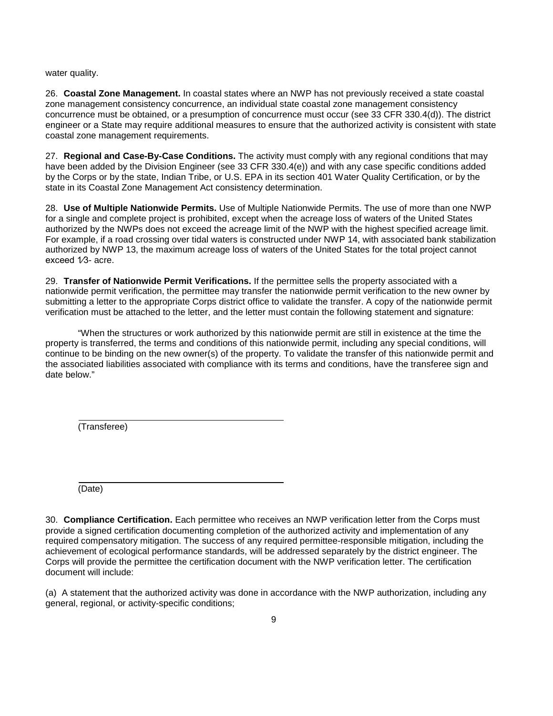water quality.

26. **Coastal Zone Management.** In coastal states where an NWP has not previously received a state coastal zone management consistency concurrence, an individual state coastal zone management consistency concurrence must be obtained, or a presumption of concurrence must occur (see 33 CFR 330.4(d)). The district engineer or a State may require additional measures to ensure that the authorized activity is consistent with state coastal zone management requirements.

27. **Regional and Case-By-Case Conditions.** The activity must comply with any regional conditions that may have been added by the Division Engineer (see 33 CFR 330.4(e)) and with any case specific conditions added by the Corps or by the state, Indian Tribe, or U.S. EPA in its section 401 Water Quality Certification, or by the state in its Coastal Zone Management Act consistency determination.

28. **Use of Multiple Nationwide Permits.** Use of Multiple Nationwide Permits. The use of more than one NWP for a single and complete project is prohibited, except when the acreage loss of waters of the United States authorized by the NWPs does not exceed the acreage limit of the NWP with the highest specified acreage limit. For example, if a road crossing over tidal waters is constructed under NWP 14, with associated bank stabilization authorized by NWP 13, the maximum acreage loss of waters of the United States for the total project cannot exceed 1⁄3- acre.

29. **Transfer of Nationwide Permit Verifications.** If the permittee sells the property associated with a nationwide permit verification, the permittee may transfer the nationwide permit verification to the new owner by submitting a letter to the appropriate Corps district office to validate the transfer. A copy of the nationwide permit verification must be attached to the letter, and the letter must contain the following statement and signature:

"When the structures or work authorized by this nationwide permit are still in existence at the time the property is transferred, the terms and conditions of this nationwide permit, including any special conditions, will continue to be binding on the new owner(s) of the property. To validate the transfer of this nationwide permit and the associated liabilities associated with compliance with its terms and conditions, have the transferee sign and date below."

(Transferee)

(Date)

30. **Compliance Certification.** Each permittee who receives an NWP verification letter from the Corps must provide a signed certification documenting completion of the authorized activity and implementation of any required compensatory mitigation. The success of any required permittee-responsible mitigation, including the achievement of ecological performance standards, will be addressed separately by the district engineer. The Corps will provide the permittee the certification document with the NWP verification letter. The certification document will include:

(a) A statement that the authorized activity was done in accordance with the NWP authorization, including any general, regional, or activity-specific conditions;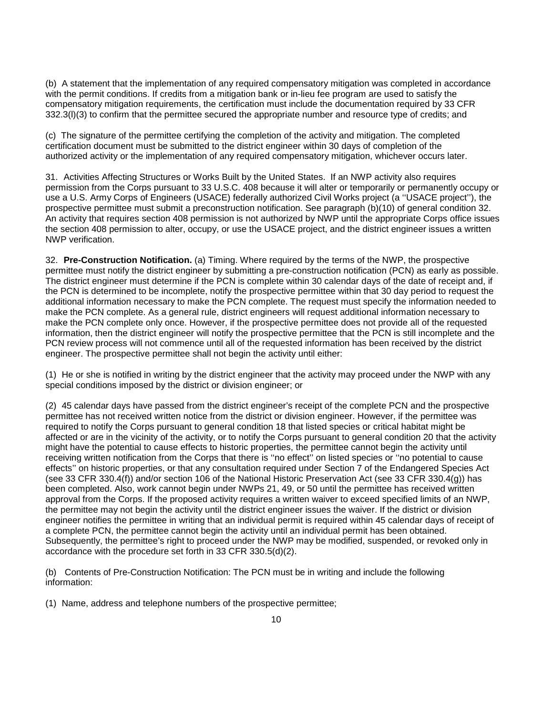(b) A statement that the implementation of any required compensatory mitigation was completed in accordance with the permit conditions. If credits from a mitigation bank or in-lieu fee program are used to satisfy the compensatory mitigation requirements, the certification must include the documentation required by 33 CFR 332.3(l)(3) to confirm that the permittee secured the appropriate number and resource type of credits; and

(c) The signature of the permittee certifying the completion of the activity and mitigation. The completed certification document must be submitted to the district engineer within 30 days of completion of the authorized activity or the implementation of any required compensatory mitigation, whichever occurs later.

31. Activities Affecting Structures or Works Built by the United States. If an NWP activity also requires permission from the Corps pursuant to 33 U.S.C. 408 because it will alter or temporarily or permanently occupy or use a U.S. Army Corps of Engineers (USACE) federally authorized Civil Works project (a ''USACE project''), the prospective permittee must submit a preconstruction notification. See paragraph (b)(10) of general condition 32. An activity that requires section 408 permission is not authorized by NWP until the appropriate Corps office issues the section 408 permission to alter, occupy, or use the USACE project, and the district engineer issues a written NWP verification.

32. **Pre-Construction Notification.** (a) Timing. Where required by the terms of the NWP, the prospective permittee must notify the district engineer by submitting a pre-construction notification (PCN) as early as possible. The district engineer must determine if the PCN is complete within 30 calendar days of the date of receipt and, if the PCN is determined to be incomplete, notify the prospective permittee within that 30 day period to request the additional information necessary to make the PCN complete. The request must specify the information needed to make the PCN complete. As a general rule, district engineers will request additional information necessary to make the PCN complete only once. However, if the prospective permittee does not provide all of the requested information, then the district engineer will notify the prospective permittee that the PCN is still incomplete and the PCN review process will not commence until all of the requested information has been received by the district engineer. The prospective permittee shall not begin the activity until either:

(1) He or she is notified in writing by the district engineer that the activity may proceed under the NWP with any special conditions imposed by the district or division engineer; or

(2) 45 calendar days have passed from the district engineer's receipt of the complete PCN and the prospective permittee has not received written notice from the district or division engineer. However, if the permittee was required to notify the Corps pursuant to general condition 18 that listed species or critical habitat might be affected or are in the vicinity of the activity, or to notify the Corps pursuant to general condition 20 that the activity might have the potential to cause effects to historic properties, the permittee cannot begin the activity until receiving written notification from the Corps that there is ''no effect'' on listed species or ''no potential to cause effects'' on historic properties, or that any consultation required under Section 7 of the Endangered Species Act (see 33 CFR 330.4(f)) and/or section 106 of the National Historic Preservation Act (see 33 CFR 330.4(g)) has been completed. Also, work cannot begin under NWPs 21, 49, or 50 until the permittee has received written approval from the Corps. If the proposed activity requires a written waiver to exceed specified limits of an NWP, the permittee may not begin the activity until the district engineer issues the waiver. If the district or division engineer notifies the permittee in writing that an individual permit is required within 45 calendar days of receipt of a complete PCN, the permittee cannot begin the activity until an individual permit has been obtained. Subsequently, the permittee's right to proceed under the NWP may be modified, suspended, or revoked only in accordance with the procedure set forth in 33 CFR 330.5(d)(2).

(b) Contents of Pre-Construction Notification: The PCN must be in writing and include the following information:

(1) Name, address and telephone numbers of the prospective permittee;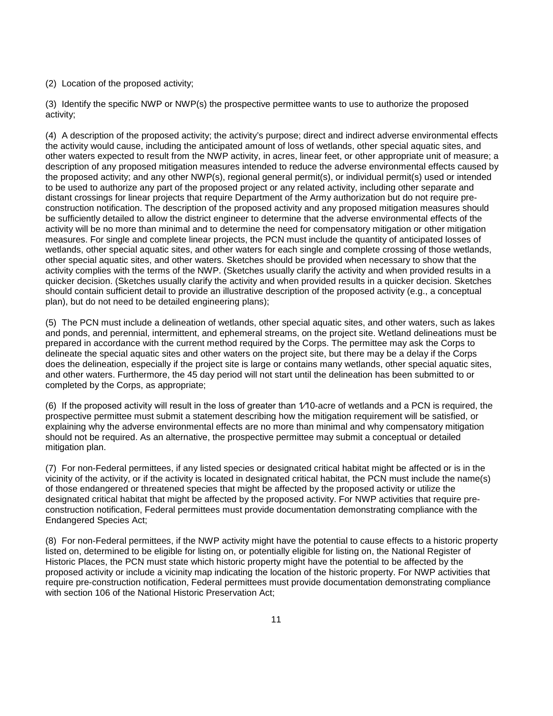(2) Location of the proposed activity;

(3) Identify the specific NWP or NWP(s) the prospective permittee wants to use to authorize the proposed activity;

(4) A description of the proposed activity; the activity's purpose; direct and indirect adverse environmental effects the activity would cause, including the anticipated amount of loss of wetlands, other special aquatic sites, and other waters expected to result from the NWP activity, in acres, linear feet, or other appropriate unit of measure; a description of any proposed mitigation measures intended to reduce the adverse environmental effects caused by the proposed activity; and any other NWP(s), regional general permit(s), or individual permit(s) used or intended to be used to authorize any part of the proposed project or any related activity, including other separate and distant crossings for linear projects that require Department of the Army authorization but do not require preconstruction notification. The description of the proposed activity and any proposed mitigation measures should be sufficiently detailed to allow the district engineer to determine that the adverse environmental effects of the activity will be no more than minimal and to determine the need for compensatory mitigation or other mitigation measures. For single and complete linear projects, the PCN must include the quantity of anticipated losses of wetlands, other special aquatic sites, and other waters for each single and complete crossing of those wetlands, other special aquatic sites, and other waters. Sketches should be provided when necessary to show that the activity complies with the terms of the NWP. (Sketches usually clarify the activity and when provided results in a quicker decision. (Sketches usually clarify the activity and when provided results in a quicker decision. Sketches should contain sufficient detail to provide an illustrative description of the proposed activity (e.g., a conceptual plan), but do not need to be detailed engineering plans);

(5) The PCN must include a delineation of wetlands, other special aquatic sites, and other waters, such as lakes and ponds, and perennial, intermittent, and ephemeral streams, on the project site. Wetland delineations must be prepared in accordance with the current method required by the Corps. The permittee may ask the Corps to delineate the special aquatic sites and other waters on the project site, but there may be a delay if the Corps does the delineation, especially if the project site is large or contains many wetlands, other special aquatic sites, and other waters. Furthermore, the 45 day period will not start until the delineation has been submitted to or completed by the Corps, as appropriate;

(6) If the proposed activity will result in the loss of greater than  $1/10$ -acre of wetlands and a PCN is required, the prospective permittee must submit a statement describing how the mitigation requirement will be satisfied, or explaining why the adverse environmental effects are no more than minimal and why compensatory mitigation should not be required. As an alternative, the prospective permittee may submit a conceptual or detailed mitigation plan.

(7) For non-Federal permittees, if any listed species or designated critical habitat might be affected or is in the vicinity of the activity, or if the activity is located in designated critical habitat, the PCN must include the name(s) of those endangered or threatened species that might be affected by the proposed activity or utilize the designated critical habitat that might be affected by the proposed activity. For NWP activities that require preconstruction notification, Federal permittees must provide documentation demonstrating compliance with the Endangered Species Act;

(8) For non-Federal permittees, if the NWP activity might have the potential to cause effects to a historic property listed on, determined to be eligible for listing on, or potentially eligible for listing on, the National Register of Historic Places, the PCN must state which historic property might have the potential to be affected by the proposed activity or include a vicinity map indicating the location of the historic property. For NWP activities that require pre-construction notification, Federal permittees must provide documentation demonstrating compliance with section 106 of the National Historic Preservation Act;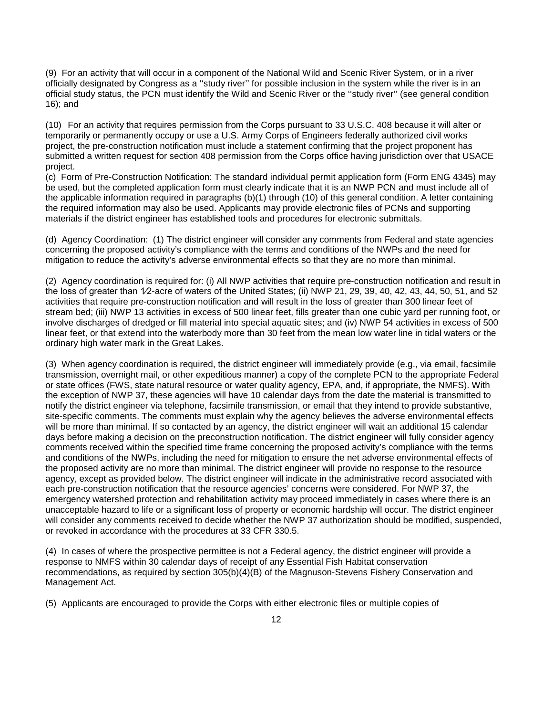(9) For an activity that will occur in a component of the National Wild and Scenic River System, or in a river officially designated by Congress as a ''study river'' for possible inclusion in the system while the river is in an official study status, the PCN must identify the Wild and Scenic River or the ''study river'' (see general condition 16); and

(10) For an activity that requires permission from the Corps pursuant to 33 U.S.C. 408 because it will alter or temporarily or permanently occupy or use a U.S. Army Corps of Engineers federally authorized civil works project, the pre-construction notification must include a statement confirming that the project proponent has submitted a written request for section 408 permission from the Corps office having jurisdiction over that USACE project.

(c) Form of Pre-Construction Notification: The standard individual permit application form (Form ENG 4345) may be used, but the completed application form must clearly indicate that it is an NWP PCN and must include all of the applicable information required in paragraphs (b)(1) through (10) of this general condition. A letter containing the required information may also be used. Applicants may provide electronic files of PCNs and supporting materials if the district engineer has established tools and procedures for electronic submittals.

(d) Agency Coordination: (1) The district engineer will consider any comments from Federal and state agencies concerning the proposed activity's compliance with the terms and conditions of the NWPs and the need for mitigation to reduce the activity's adverse environmental effects so that they are no more than minimal.

(2) Agency coordination is required for: (i) All NWP activities that require pre-construction notification and result in the loss of greater than 1/2-acre of waters of the United States; (ii) NWP 21, 29, 39, 40, 42, 43, 44, 50, 51, and 52 activities that require pre-construction notification and will result in the loss of greater than 300 linear feet of stream bed; (iii) NWP 13 activities in excess of 500 linear feet, fills greater than one cubic yard per running foot, or involve discharges of dredged or fill material into special aquatic sites; and (iv) NWP 54 activities in excess of 500 linear feet, or that extend into the waterbody more than 30 feet from the mean low water line in tidal waters or the ordinary high water mark in the Great Lakes.

(3) When agency coordination is required, the district engineer will immediately provide (e.g., via email, facsimile transmission, overnight mail, or other expeditious manner) a copy of the complete PCN to the appropriate Federal or state offices (FWS, state natural resource or water quality agency, EPA, and, if appropriate, the NMFS). With the exception of NWP 37, these agencies will have 10 calendar days from the date the material is transmitted to notify the district engineer via telephone, facsimile transmission, or email that they intend to provide substantive, site-specific comments. The comments must explain why the agency believes the adverse environmental effects will be more than minimal. If so contacted by an agency, the district engineer will wait an additional 15 calendar days before making a decision on the preconstruction notification. The district engineer will fully consider agency comments received within the specified time frame concerning the proposed activity's compliance with the terms and conditions of the NWPs, including the need for mitigation to ensure the net adverse environmental effects of the proposed activity are no more than minimal. The district engineer will provide no response to the resource agency, except as provided below. The district engineer will indicate in the administrative record associated with each pre-construction notification that the resource agencies' concerns were considered. For NWP 37, the emergency watershed protection and rehabilitation activity may proceed immediately in cases where there is an unacceptable hazard to life or a significant loss of property or economic hardship will occur. The district engineer will consider any comments received to decide whether the NWP 37 authorization should be modified, suspended, or revoked in accordance with the procedures at 33 CFR 330.5.

(4) In cases of where the prospective permittee is not a Federal agency, the district engineer will provide a response to NMFS within 30 calendar days of receipt of any Essential Fish Habitat conservation recommendations, as required by section 305(b)(4)(B) of the Magnuson-Stevens Fishery Conservation and Management Act.

(5) Applicants are encouraged to provide the Corps with either electronic files or multiple copies of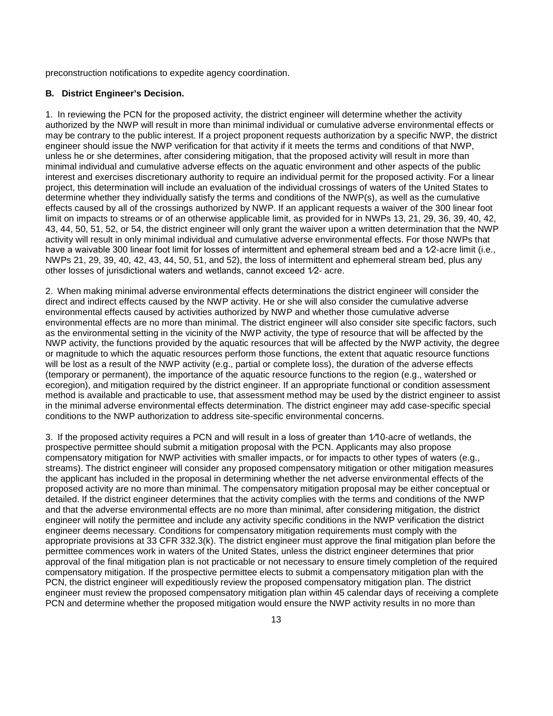preconstruction notifications to expedite agency coordination.

#### **B. District Engineer's Decision.**

1. In reviewing the PCN for the proposed activity, the district engineer will determine whether the activity authorized by the NWP will result in more than minimal individual or cumulative adverse environmental effects or may be contrary to the public interest. If a project proponent requests authorization by a specific NWP, the district engineer should issue the NWP verification for that activity if it meets the terms and conditions of that NWP, unless he or she determines, after considering mitigation, that the proposed activity will result in more than minimal individual and cumulative adverse effects on the aquatic environment and other aspects of the public interest and exercises discretionary authority to require an individual permit for the proposed activity. For a linear project, this determination will include an evaluation of the individual crossings of waters of the United States to determine whether they individually satisfy the terms and conditions of the NWP(s), as well as the cumulative effects caused by all of the crossings authorized by NWP. If an applicant requests a waiver of the 300 linear foot limit on impacts to streams or of an otherwise applicable limit, as provided for in NWPs 13, 21, 29, 36, 39, 40, 42, 43, 44, 50, 51, 52, or 54, the district engineer will only grant the waiver upon a written determination that the NWP activity will result in only minimal individual and cumulative adverse environmental effects. For those NWPs that have a waivable 300 linear foot limit for losses of intermittent and ephemeral stream bed and a  $1/2$ -acre limit (i.e., NWPs 21, 29, 39, 40, 42, 43, 44, 50, 51, and 52), the loss of intermittent and ephemeral stream bed, plus any other losses of jurisdictional waters and wetlands, cannot exceed 1⁄2- acre.

2. When making minimal adverse environmental effects determinations the district engineer will consider the direct and indirect effects caused by the NWP activity. He or she will also consider the cumulative adverse environmental effects caused by activities authorized by NWP and whether those cumulative adverse environmental effects are no more than minimal. The district engineer will also consider site specific factors, such as the environmental setting in the vicinity of the NWP activity, the type of resource that will be affected by the NWP activity, the functions provided by the aquatic resources that will be affected by the NWP activity, the degree or magnitude to which the aquatic resources perform those functions, the extent that aquatic resource functions will be lost as a result of the NWP activity (e.g., partial or complete loss), the duration of the adverse effects (temporary or permanent), the importance of the aquatic resource functions to the region (e.g., watershed or ecoregion), and mitigation required by the district engineer. If an appropriate functional or condition assessment method is available and practicable to use, that assessment method may be used by the district engineer to assist in the minimal adverse environmental effects determination. The district engineer may add case-specific special conditions to the NWP authorization to address site-specific environmental concerns.

3. If the proposed activity requires a PCN and will result in a loss of greater than 1⁄10-acre of wetlands, the prospective permittee should submit a mitigation proposal with the PCN. Applicants may also propose compensatory mitigation for NWP activities with smaller impacts, or for impacts to other types of waters (e.g., streams). The district engineer will consider any proposed compensatory mitigation or other mitigation measures the applicant has included in the proposal in determining whether the net adverse environmental effects of the proposed activity are no more than minimal. The compensatory mitigation proposal may be either conceptual or detailed. If the district engineer determines that the activity complies with the terms and conditions of the NWP and that the adverse environmental effects are no more than minimal, after considering mitigation, the district engineer will notify the permittee and include any activity specific conditions in the NWP verification the district engineer deems necessary. Conditions for compensatory mitigation requirements must comply with the appropriate provisions at 33 CFR 332.3(k). The district engineer must approve the final mitigation plan before the permittee commences work in waters of the United States, unless the district engineer determines that prior approval of the final mitigation plan is not practicable or not necessary to ensure timely completion of the required compensatory mitigation. If the prospective permittee elects to submit a compensatory mitigation plan with the PCN, the district engineer will expeditiously review the proposed compensatory mitigation plan. The district engineer must review the proposed compensatory mitigation plan within 45 calendar days of receiving a complete PCN and determine whether the proposed mitigation would ensure the NWP activity results in no more than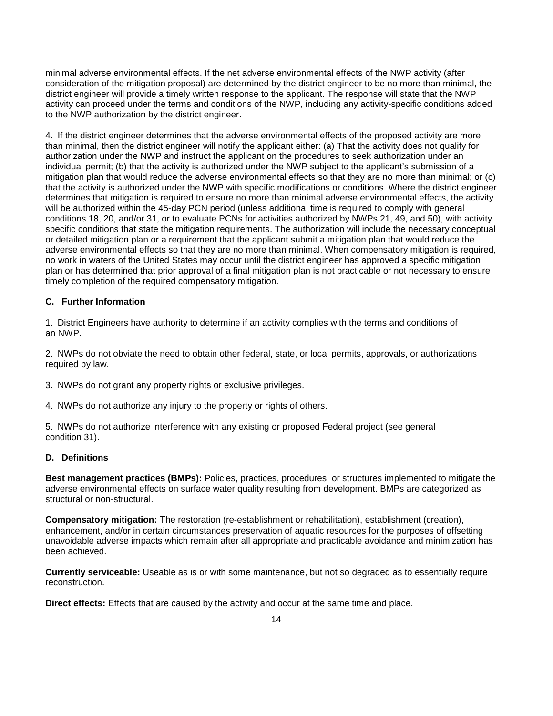minimal adverse environmental effects. If the net adverse environmental effects of the NWP activity (after consideration of the mitigation proposal) are determined by the district engineer to be no more than minimal, the district engineer will provide a timely written response to the applicant. The response will state that the NWP activity can proceed under the terms and conditions of the NWP, including any activity-specific conditions added to the NWP authorization by the district engineer.

4. If the district engineer determines that the adverse environmental effects of the proposed activity are more than minimal, then the district engineer will notify the applicant either: (a) That the activity does not qualify for authorization under the NWP and instruct the applicant on the procedures to seek authorization under an individual permit; (b) that the activity is authorized under the NWP subject to the applicant's submission of a mitigation plan that would reduce the adverse environmental effects so that they are no more than minimal; or (c) that the activity is authorized under the NWP with specific modifications or conditions. Where the district engineer determines that mitigation is required to ensure no more than minimal adverse environmental effects, the activity will be authorized within the 45-day PCN period (unless additional time is required to comply with general conditions 18, 20, and/or 31, or to evaluate PCNs for activities authorized by NWPs 21, 49, and 50), with activity specific conditions that state the mitigation requirements. The authorization will include the necessary conceptual or detailed mitigation plan or a requirement that the applicant submit a mitigation plan that would reduce the adverse environmental effects so that they are no more than minimal. When compensatory mitigation is required, no work in waters of the United States may occur until the district engineer has approved a specific mitigation plan or has determined that prior approval of a final mitigation plan is not practicable or not necessary to ensure timely completion of the required compensatory mitigation.

### **C. Further Information**

1. District Engineers have authority to determine if an activity complies with the terms and conditions of an NWP.

2. NWPs do not obviate the need to obtain other federal, state, or local permits, approvals, or authorizations required by law.

3. NWPs do not grant any property rights or exclusive privileges.

4. NWPs do not authorize any injury to the property or rights of others.

5. NWPs do not authorize interference with any existing or proposed Federal project (see general condition 31).

## **D. Definitions**

**Best management practices (BMPs):** Policies, practices, procedures, or structures implemented to mitigate the adverse environmental effects on surface water quality resulting from development. BMPs are categorized as structural or non-structural.

**Compensatory mitigation:** The restoration (re-establishment or rehabilitation), establishment (creation), enhancement, and/or in certain circumstances preservation of aquatic resources for the purposes of offsetting unavoidable adverse impacts which remain after all appropriate and practicable avoidance and minimization has been achieved.

**Currently serviceable:** Useable as is or with some maintenance, but not so degraded as to essentially require reconstruction.

**Direct effects:** Effects that are caused by the activity and occur at the same time and place.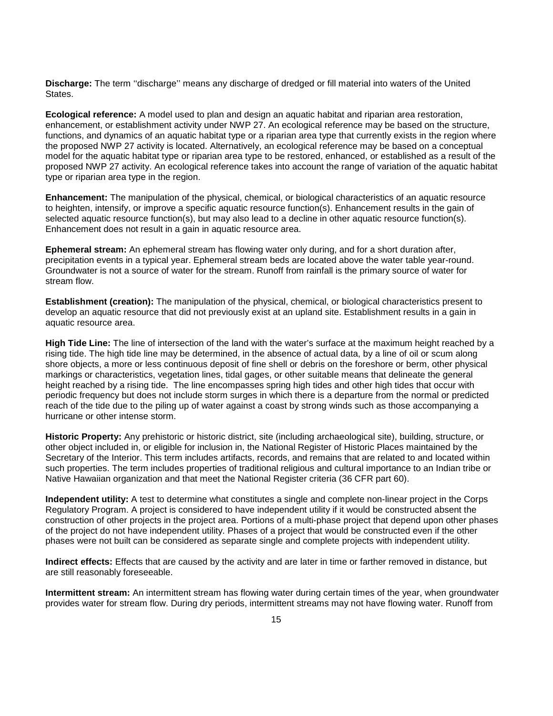**Discharge:** The term ''discharge'' means any discharge of dredged or fill material into waters of the United States.

**Ecological reference:** A model used to plan and design an aquatic habitat and riparian area restoration, enhancement, or establishment activity under NWP 27. An ecological reference may be based on the structure, functions, and dynamics of an aquatic habitat type or a riparian area type that currently exists in the region where the proposed NWP 27 activity is located. Alternatively, an ecological reference may be based on a conceptual model for the aquatic habitat type or riparian area type to be restored, enhanced, or established as a result of the proposed NWP 27 activity. An ecological reference takes into account the range of variation of the aquatic habitat type or riparian area type in the region.

**Enhancement:** The manipulation of the physical, chemical, or biological characteristics of an aquatic resource to heighten, intensify, or improve a specific aquatic resource function(s). Enhancement results in the gain of selected aquatic resource function(s), but may also lead to a decline in other aquatic resource function(s). Enhancement does not result in a gain in aquatic resource area.

**Ephemeral stream:** An ephemeral stream has flowing water only during, and for a short duration after, precipitation events in a typical year. Ephemeral stream beds are located above the water table year-round. Groundwater is not a source of water for the stream. Runoff from rainfall is the primary source of water for stream flow.

**Establishment (creation):** The manipulation of the physical, chemical, or biological characteristics present to develop an aquatic resource that did not previously exist at an upland site. Establishment results in a gain in aquatic resource area.

**High Tide Line:** The line of intersection of the land with the water's surface at the maximum height reached by a rising tide. The high tide line may be determined, in the absence of actual data, by a line of oil or scum along shore objects, a more or less continuous deposit of fine shell or debris on the foreshore or berm, other physical markings or characteristics, vegetation lines, tidal gages, or other suitable means that delineate the general height reached by a rising tide. The line encompasses spring high tides and other high tides that occur with periodic frequency but does not include storm surges in which there is a departure from the normal or predicted reach of the tide due to the piling up of water against a coast by strong winds such as those accompanying a hurricane or other intense storm.

**Historic Property:** Any prehistoric or historic district, site (including archaeological site), building, structure, or other object included in, or eligible for inclusion in, the National Register of Historic Places maintained by the Secretary of the Interior. This term includes artifacts, records, and remains that are related to and located within such properties. The term includes properties of traditional religious and cultural importance to an Indian tribe or Native Hawaiian organization and that meet the National Register criteria (36 CFR part 60).

**Independent utility:** A test to determine what constitutes a single and complete non-linear project in the Corps Regulatory Program. A project is considered to have independent utility if it would be constructed absent the construction of other projects in the project area. Portions of a multi-phase project that depend upon other phases of the project do not have independent utility. Phases of a project that would be constructed even if the other phases were not built can be considered as separate single and complete projects with independent utility.

**Indirect effects:** Effects that are caused by the activity and are later in time or farther removed in distance, but are still reasonably foreseeable.

**Intermittent stream:** An intermittent stream has flowing water during certain times of the year, when groundwater provides water for stream flow. During dry periods, intermittent streams may not have flowing water. Runoff from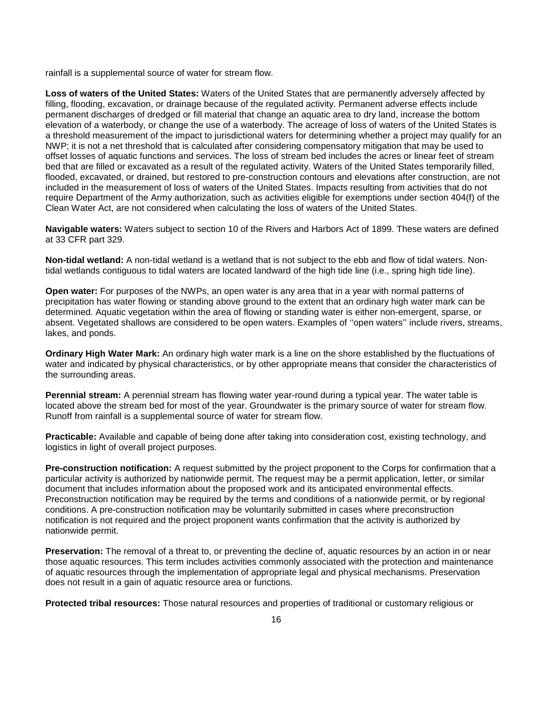rainfall is a supplemental source of water for stream flow.

**Loss of waters of the United States:** Waters of the United States that are permanently adversely affected by filling, flooding, excavation, or drainage because of the regulated activity. Permanent adverse effects include permanent discharges of dredged or fill material that change an aquatic area to dry land, increase the bottom elevation of a waterbody, or change the use of a waterbody. The acreage of loss of waters of the United States is a threshold measurement of the impact to jurisdictional waters for determining whether a project may qualify for an NWP; it is not a net threshold that is calculated after considering compensatory mitigation that may be used to offset losses of aquatic functions and services. The loss of stream bed includes the acres or linear feet of stream bed that are filled or excavated as a result of the regulated activity. Waters of the United States temporarily filled, flooded, excavated, or drained, but restored to pre-construction contours and elevations after construction, are not included in the measurement of loss of waters of the United States. Impacts resulting from activities that do not require Department of the Army authorization, such as activities eligible for exemptions under section 404(f) of the Clean Water Act, are not considered when calculating the loss of waters of the United States.

**Navigable waters:** Waters subject to section 10 of the Rivers and Harbors Act of 1899. These waters are defined at 33 CFR part 329.

**Non-tidal wetland:** A non-tidal wetland is a wetland that is not subject to the ebb and flow of tidal waters. Nontidal wetlands contiguous to tidal waters are located landward of the high tide line (i.e., spring high tide line).

**Open water:** For purposes of the NWPs, an open water is any area that in a year with normal patterns of precipitation has water flowing or standing above ground to the extent that an ordinary high water mark can be determined. Aquatic vegetation within the area of flowing or standing water is either non-emergent, sparse, or absent. Vegetated shallows are considered to be open waters. Examples of ''open waters'' include rivers, streams, lakes, and ponds.

**Ordinary High Water Mark:** An ordinary high water mark is a line on the shore established by the fluctuations of water and indicated by physical characteristics, or by other appropriate means that consider the characteristics of the surrounding areas.

**Perennial stream:** A perennial stream has flowing water year-round during a typical year. The water table is located above the stream bed for most of the year. Groundwater is the primary source of water for stream flow. Runoff from rainfall is a supplemental source of water for stream flow.

**Practicable:** Available and capable of being done after taking into consideration cost, existing technology, and logistics in light of overall project purposes.

**Pre-construction notification:** A request submitted by the project proponent to the Corps for confirmation that a particular activity is authorized by nationwide permit. The request may be a permit application, letter, or similar document that includes information about the proposed work and its anticipated environmental effects. Preconstruction notification may be required by the terms and conditions of a nationwide permit, or by regional conditions. A pre-construction notification may be voluntarily submitted in cases where preconstruction notification is not required and the project proponent wants confirmation that the activity is authorized by nationwide permit.

**Preservation:** The removal of a threat to, or preventing the decline of, aquatic resources by an action in or near those aquatic resources. This term includes activities commonly associated with the protection and maintenance of aquatic resources through the implementation of appropriate legal and physical mechanisms. Preservation does not result in a gain of aquatic resource area or functions.

**Protected tribal resources:** Those natural resources and properties of traditional or customary religious or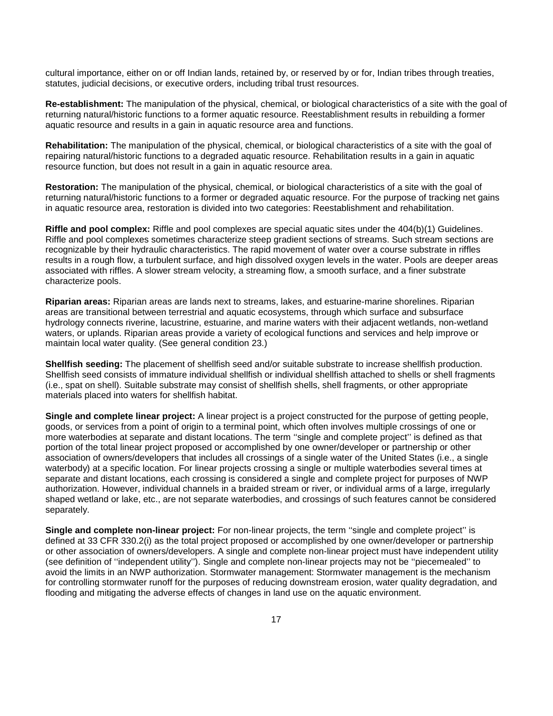cultural importance, either on or off Indian lands, retained by, or reserved by or for, Indian tribes through treaties, statutes, judicial decisions, or executive orders, including tribal trust resources.

**Re-establishment:** The manipulation of the physical, chemical, or biological characteristics of a site with the goal of returning natural/historic functions to a former aquatic resource. Reestablishment results in rebuilding a former aquatic resource and results in a gain in aquatic resource area and functions.

**Rehabilitation:** The manipulation of the physical, chemical, or biological characteristics of a site with the goal of repairing natural/historic functions to a degraded aquatic resource. Rehabilitation results in a gain in aquatic resource function, but does not result in a gain in aquatic resource area.

**Restoration:** The manipulation of the physical, chemical, or biological characteristics of a site with the goal of returning natural/historic functions to a former or degraded aquatic resource. For the purpose of tracking net gains in aquatic resource area, restoration is divided into two categories: Reestablishment and rehabilitation.

**Riffle and pool complex:** Riffle and pool complexes are special aquatic sites under the 404(b)(1) Guidelines. Riffle and pool complexes sometimes characterize steep gradient sections of streams. Such stream sections are recognizable by their hydraulic characteristics. The rapid movement of water over a course substrate in riffles results in a rough flow, a turbulent surface, and high dissolved oxygen levels in the water. Pools are deeper areas associated with riffles. A slower stream velocity, a streaming flow, a smooth surface, and a finer substrate characterize pools.

**Riparian areas:** Riparian areas are lands next to streams, lakes, and estuarine-marine shorelines. Riparian areas are transitional between terrestrial and aquatic ecosystems, through which surface and subsurface hydrology connects riverine, lacustrine, estuarine, and marine waters with their adjacent wetlands, non-wetland waters, or uplands. Riparian areas provide a variety of ecological functions and services and help improve or maintain local water quality. (See general condition 23.)

**Shellfish seeding:** The placement of shellfish seed and/or suitable substrate to increase shellfish production. Shellfish seed consists of immature individual shellfish or individual shellfish attached to shells or shell fragments (i.e., spat on shell). Suitable substrate may consist of shellfish shells, shell fragments, or other appropriate materials placed into waters for shellfish habitat.

**Single and complete linear project:** A linear project is a project constructed for the purpose of getting people, goods, or services from a point of origin to a terminal point, which often involves multiple crossings of one or more waterbodies at separate and distant locations. The term ''single and complete project'' is defined as that portion of the total linear project proposed or accomplished by one owner/developer or partnership or other association of owners/developers that includes all crossings of a single water of the United States (i.e., a single waterbody) at a specific location. For linear projects crossing a single or multiple waterbodies several times at separate and distant locations, each crossing is considered a single and complete project for purposes of NWP authorization. However, individual channels in a braided stream or river, or individual arms of a large, irregularly shaped wetland or lake, etc., are not separate waterbodies, and crossings of such features cannot be considered separately.

**Single and complete non-linear project:** For non-linear projects, the term ''single and complete project'' is defined at 33 CFR 330.2(i) as the total project proposed or accomplished by one owner/developer or partnership or other association of owners/developers. A single and complete non-linear project must have independent utility (see definition of ''independent utility''). Single and complete non-linear projects may not be ''piecemealed'' to avoid the limits in an NWP authorization. Stormwater management: Stormwater management is the mechanism for controlling stormwater runoff for the purposes of reducing downstream erosion, water quality degradation, and flooding and mitigating the adverse effects of changes in land use on the aquatic environment.